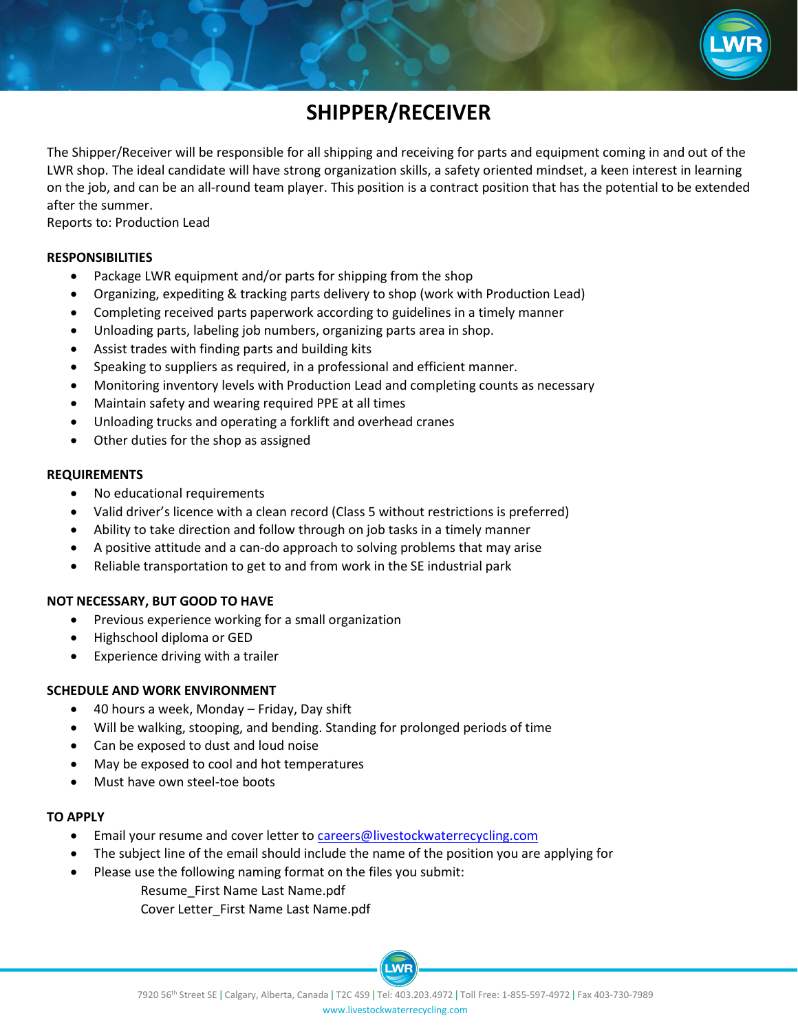

# **SHIPPER/RECEIVER**

The Shipper/Receiver will be responsible for all shipping and receiving for parts and equipment coming in and out of the LWR shop. The ideal candidate will have strong organization skills, a safety oriented mindset, a keen interest in learning on the job, and can be an all-round team player. This position is a contract position that has the potential to be extended after the summer.

Reports to: Production Lead

#### **RESPONSIBILITIES**

- Package LWR equipment and/or parts for shipping from the shop
- Organizing, expediting & tracking parts delivery to shop (work with Production Lead)
- Completing received parts paperwork according to guidelines in a timely manner
- Unloading parts, labeling job numbers, organizing parts area in shop.
- Assist trades with finding parts and building kits
- Speaking to suppliers as required, in a professional and efficient manner.
- Monitoring inventory levels with Production Lead and completing counts as necessary
- Maintain safety and wearing required PPE at all times
- Unloading trucks and operating a forklift and overhead cranes
- Other duties for the shop as assigned

#### **REQUIREMENTS**

- No educational requirements
- Valid driver's licence with a clean record (Class 5 without restrictions is preferred)
- Ability to take direction and follow through on job tasks in a timely manner
- A positive attitude and a can-do approach to solving problems that may arise
- Reliable transportation to get to and from work in the SE industrial park

## **NOT NECESSARY, BUT GOOD TO HAVE**

- Previous experience working for a small organization
- Highschool diploma or GED
- Experience driving with a trailer

## **SCHEDULE AND WORK ENVIRONMENT**

- 40 hours a week, Monday Friday, Day shift
- Will be walking, stooping, and bending. Standing for prolonged periods of time
- Can be exposed to dust and loud noise
- May be exposed to cool and hot temperatures
- Must have own steel-toe boots

#### **TO APPLY**

- Email your resume and cover letter t[o careers@livestockwaterrecycling.com](mailto:careers@livestockwaterrecycling.com)
- The subject line of the email should include the name of the position you are applying for
- Please use the following naming format on the files you submit:

Resume\_First Name Last Name.pdf Cover Letter\_First Name Last Name.pdf

LWR